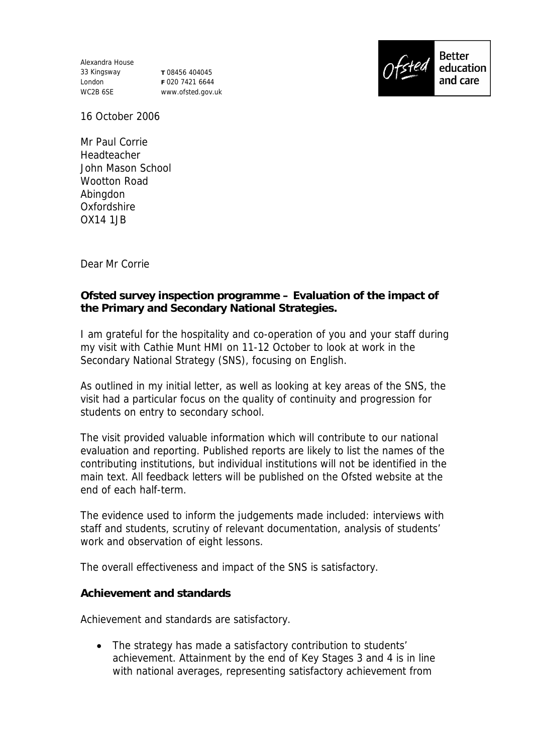Alexandra House 33 Kingsway London WC2B 6SE

**T** 08456 404045 **F** 020 7421 6644 www.ofsted.gov.uk



16 October 2006

Mr Paul Corrie Headteacher John Mason School Wootton Road Abingdon Oxfordshire OX14 1JB

Dear Mr Corrie

**Ofsted survey inspection programme – Evaluation of the impact of the Primary and Secondary National Strategies.**

I am grateful for the hospitality and co-operation of you and your staff during my visit with Cathie Munt HMI on 11-12 October to look at work in the Secondary National Strategy (SNS), focusing on English.

As outlined in my initial letter, as well as looking at key areas of the SNS, the visit had a particular focus on the quality of continuity and progression for students on entry to secondary school.

The visit provided valuable information which will contribute to our national evaluation and reporting. Published reports are likely to list the names of the contributing institutions, but individual institutions will not be identified in the main text. All feedback letters will be published on the Ofsted website at the end of each half-term.

The evidence used to inform the judgements made included: interviews with staff and students, scrutiny of relevant documentation, analysis of students' work and observation of eight lessons.

The overall effectiveness and impact of the SNS is satisfactory.

**Achievement and standards**

Achievement and standards are satisfactory.

• The strategy has made a satisfactory contribution to students' achievement. Attainment by the end of Key Stages 3 and 4 is in line with national averages, representing satisfactory achievement from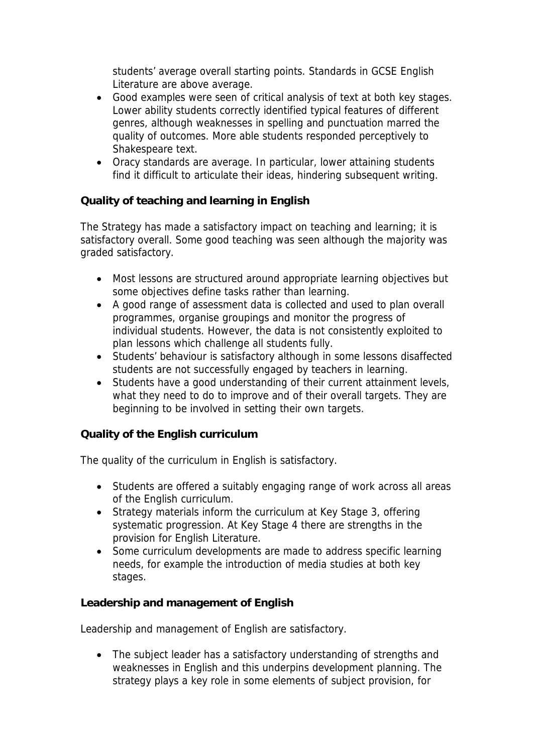students' average overall starting points. Standards in GCSE English Literature are above average.

- Good examples were seen of critical analysis of text at both key stages. Lower ability students correctly identified typical features of different genres, although weaknesses in spelling and punctuation marred the quality of outcomes. More able students responded perceptively to Shakespeare text.
- Oracy standards are average. In particular, lower attaining students find it difficult to articulate their ideas, hindering subsequent writing.

**Quality of teaching and learning in English**

The Strategy has made a satisfactory impact on teaching and learning; it is satisfactory overall. Some good teaching was seen although the majority was graded satisfactory.

- Most lessons are structured around appropriate learning objectives but some objectives define tasks rather than learning.
- A good range of assessment data is collected and used to plan overall programmes, organise groupings and monitor the progress of individual students. However, the data is not consistently exploited to plan lessons which challenge all students fully.
- Students' behaviour is satisfactory although in some lessons disaffected students are not successfully engaged by teachers in learning.
- Students have a good understanding of their current attainment levels, what they need to do to improve and of their overall targets. They are beginning to be involved in setting their own targets.

**Quality of the English curriculum** 

The quality of the curriculum in English is satisfactory.

- Students are offered a suitably engaging range of work across all areas of the English curriculum.
- Strategy materials inform the curriculum at Key Stage 3, offering systematic progression. At Key Stage 4 there are strengths in the provision for English Literature.
- Some curriculum developments are made to address specific learning needs, for example the introduction of media studies at both key stages.

**Leadership and management of English**

Leadership and management of English are satisfactory.

• The subject leader has a satisfactory understanding of strengths and weaknesses in English and this underpins development planning. The strategy plays a key role in some elements of subject provision, for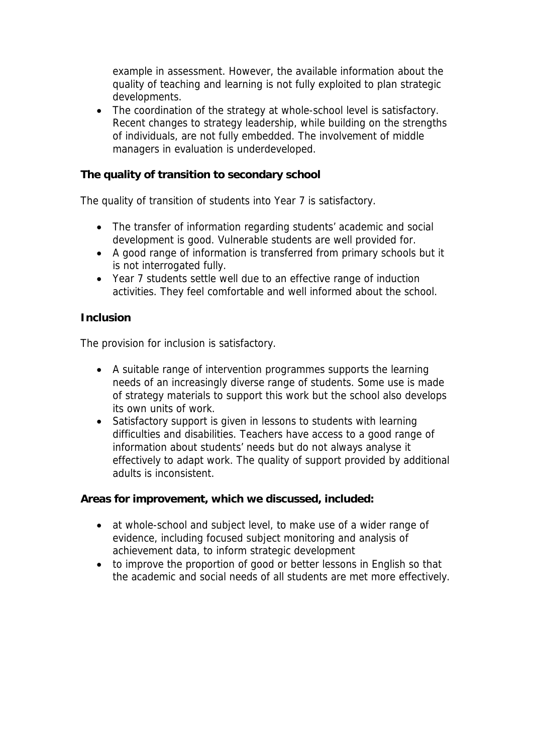example in assessment. However, the available information about the quality of teaching and learning is not fully exploited to plan strategic developments.

• The coordination of the strategy at whole-school level is satisfactory. Recent changes to strategy leadership, while building on the strengths of individuals, are not fully embedded. The involvement of middle managers in evaluation is underdeveloped.

**The quality of transition to secondary school**

The quality of transition of students into Year 7 is satisfactory.

- The transfer of information regarding students' academic and social development is good. Vulnerable students are well provided for.
- A good range of information is transferred from primary schools but it is not interrogated fully.
- Year 7 students settle well due to an effective range of induction activities. They feel comfortable and well informed about the school.

## **Inclusion**

The provision for inclusion is satisfactory.

- A suitable range of intervention programmes supports the learning needs of an increasingly diverse range of students. Some use is made of strategy materials to support this work but the school also develops its own units of work.
- Satisfactory support is given in lessons to students with learning difficulties and disabilities. Teachers have access to a good range of information about students' needs but do not always analyse it effectively to adapt work. The quality of support provided by additional adults is inconsistent.

**Areas for improvement, which we discussed, included:**

- at whole-school and subject level, to make use of a wider range of evidence, including focused subject monitoring and analysis of achievement data, to inform strategic development
- to improve the proportion of good or better lessons in English so that the academic and social needs of all students are met more effectively.